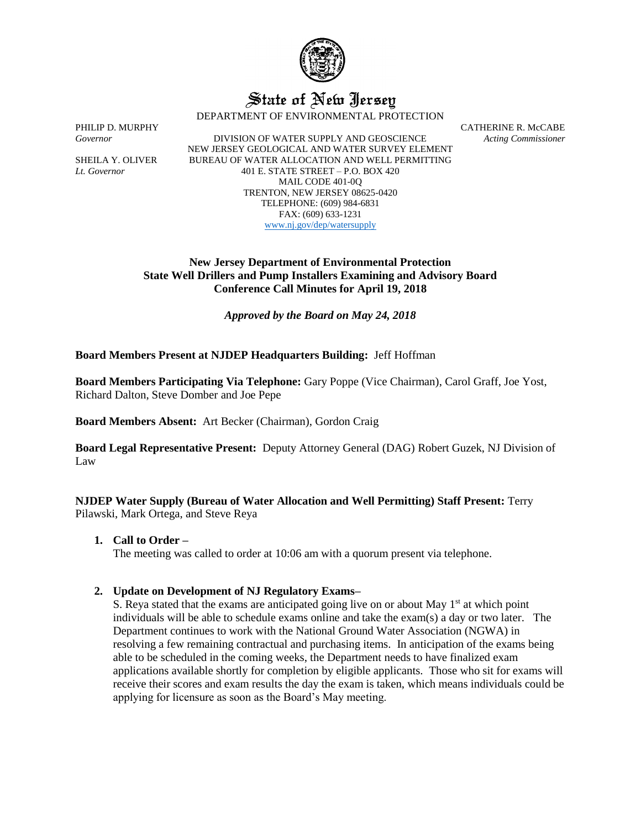

# State of New Jersey

DEPARTMENT OF ENVIRONMENTAL PROTECTION

*Governor* DIVISION OF WATER SUPPLY AND GEOSCIENCE *Acting Commissioner* NEW JERSEY GEOLOGICAL AND WATER SURVEY ELEMENT SHEILA Y. OLIVER BUREAU OF WATER ALLOCATION AND WELL PERMITTING *Lt. Governor* 401 E. STATE STREET – P.O. BOX 420 MAIL CODE 401-0Q TRENTON, NEW JERSEY 08625-0420 TELEPHONE: (609) 984-6831 FAX: (609) 633-1231 [www.nj.gov/dep/watersupply](http://www.nj.gov/dep/watersupply)

PHILIP D. MURPHY CATHERINE R. McCABE

## **New Jersey Department of Environmental Protection State Well Drillers and Pump Installers Examining and Advisory Board Conference Call Minutes for April 19, 2018**

*Approved by the Board on May 24, 2018*

## **Board Members Present at NJDEP Headquarters Building:** Jeff Hoffman

**Board Members Participating Via Telephone:** Gary Poppe (Vice Chairman), Carol Graff, Joe Yost, Richard Dalton, Steve Domber and Joe Pepe

**Board Members Absent:** Art Becker (Chairman), Gordon Craig

**Board Legal Representative Present:** Deputy Attorney General (DAG) Robert Guzek, NJ Division of Law

**NJDEP Water Supply (Bureau of Water Allocation and Well Permitting) Staff Present:** Terry Pilawski, Mark Ortega, and Steve Reya

## **1. Call to Order –**

The meeting was called to order at 10:06 am with a quorum present via telephone.

## **2. Update on Development of NJ Regulatory Exams–**

S. Reya stated that the exams are anticipated going live on or about May  $1<sup>st</sup>$  at which point individuals will be able to schedule exams online and take the exam(s) a day or two later. The Department continues to work with the National Ground Water Association (NGWA) in resolving a few remaining contractual and purchasing items. In anticipation of the exams being able to be scheduled in the coming weeks, the Department needs to have finalized exam applications available shortly for completion by eligible applicants. Those who sit for exams will receive their scores and exam results the day the exam is taken, which means individuals could be applying for licensure as soon as the Board's May meeting.